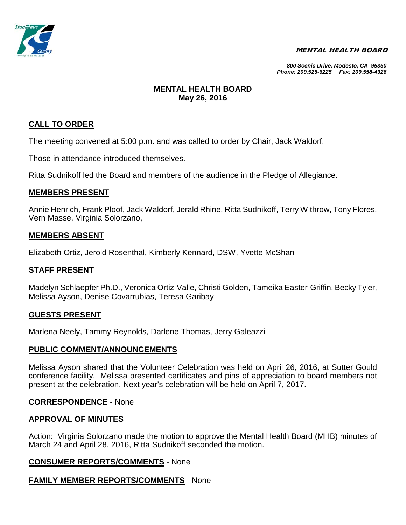

#### MENTAL HEALTH BOARD

*800 Scenic Drive, Modesto, CA 95350 Phone: 209.525-6225 Fax: 209.558-4326*

# **MENTAL HEALTH BOARD May 26, 2016**

# **CALL TO ORDER**

The meeting convened at 5:00 p.m. and was called to order by Chair, Jack Waldorf.

Those in attendance introduced themselves.

Ritta Sudnikoff led the Board and members of the audience in the Pledge of Allegiance.

## **MEMBERS PRESENT**

Annie Henrich, Frank Ploof, Jack Waldorf, Jerald Rhine, Ritta Sudnikoff, Terry Withrow, Tony Flores, Vern Masse, Virginia Solorzano,

### **MEMBERS ABSENT**

Elizabeth Ortiz, Jerold Rosenthal, Kimberly Kennard, DSW, Yvette McShan

#### **STAFF PRESENT**

Madelyn Schlaepfer Ph.D., Veronica Ortiz-Valle, Christi Golden, Tameika Easter-Griffin, Becky Tyler, Melissa Ayson, Denise Covarrubias, Teresa Garibay

#### **GUESTS PRESENT**

Marlena Neely, Tammy Reynolds, Darlene Thomas, Jerry Galeazzi

#### **PUBLIC COMMENT/ANNOUNCEMENTS**

Melissa Ayson shared that the Volunteer Celebration was held on April 26, 2016, at Sutter Gould conference facility. Melissa presented certificates and pins of appreciation to board members not present at the celebration. Next year's celebration will be held on April 7, 2017.

#### **CORRESPONDENCE -** None

#### **APPROVAL OF MINUTES**

Action: Virginia Solorzano made the motion to approve the Mental Health Board (MHB) minutes of March 24 and April 28, 2016, Ritta Sudnikoff seconded the motion.

## **CONSUMER REPORTS/COMMENTS** - None

# **FAMILY MEMBER REPORTS/COMMENTS** - None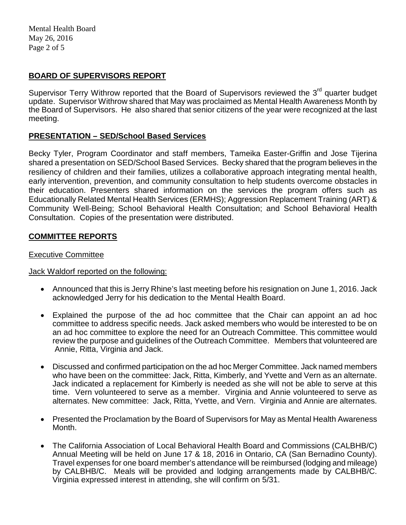Mental Health Board May 26, 2016 Page 2 of 5

# **BOARD OF SUPERVISORS REPORT**

Supervisor Terry Withrow reported that the Board of Supervisors reviewed the 3<sup>rd</sup> quarter budget update. Supervisor Withrow shared that May was proclaimed as Mental Health Awareness Month by the Board of Supervisors. He also shared that senior citizens of the year were recognized at the last meeting.

## **PRESENTATION – SED/School Based Services**

Becky Tyler, Program Coordinator and staff members, Tameika Easter-Griffin and Jose Tijerina shared a presentation on SED/School Based Services. Becky shared that the program believes in the resiliency of children and their families, utilizes a collaborative approach integrating mental health, early intervention, prevention, and community consultation to help students overcome obstacles in their education. Presenters shared information on the services the program offers such as Educationally Related Mental Health Services (ERMHS); Aggression Replacement Training (ART) & Community Well-Being; School Behavioral Health Consultation; and School Behavioral Health Consultation. Copies of the presentation were distributed.

# **COMMITTEE REPORTS**

#### Executive Committee

#### Jack Waldorf reported on the following:

- Announced that this is Jerry Rhine's last meeting before his resignation on June 1, 2016. Jack acknowledged Jerry for his dedication to the Mental Health Board.
- Explained the purpose of the ad hoc committee that the Chair can appoint an ad hoc committee to address specific needs. Jack asked members who would be interested to be on an ad hoc committee to explore the need for an Outreach Committee. This committee would review the purpose and guidelines of the Outreach Committee. Members that volunteered are Annie, Ritta, Virginia and Jack.
- Discussed and confirmed participation on the ad hoc Merger Committee. Jack named members who have been on the committee: Jack, Ritta, Kimberly, and Yvette and Vern as an alternate. Jack indicated a replacement for Kimberly is needed as she will not be able to serve at this time. Vern volunteered to serve as a member. Virginia and Annie volunteered to serve as alternates. New committee: Jack, Ritta, Yvette, and Vern. Virginia and Annie are alternates.
- Presented the Proclamation by the Board of Supervisors for May as Mental Health Awareness Month.
- The California Association of Local Behavioral Health Board and Commissions (CALBHB/C) Annual Meeting will be held on June 17 & 18, 2016 in Ontario, CA (San Bernadino County). Travel expenses for one board member's attendance will be reimbursed (lodging and mileage) by CALBHB/C. Meals will be provided and lodging arrangements made by CALBHB/C. Virginia expressed interest in attending, she will confirm on 5/31.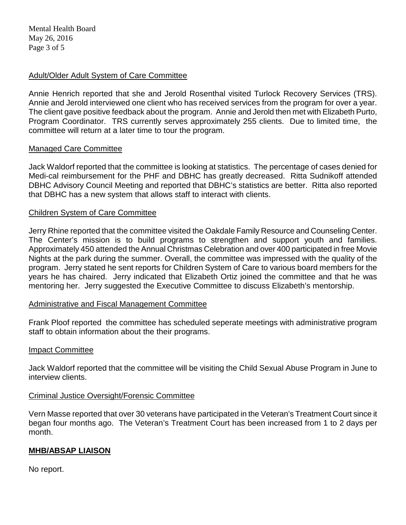Mental Health Board May 26, 2016 Page 3 of 5

## Adult/Older Adult System of Care Committee

Annie Henrich reported that she and Jerold Rosenthal visited Turlock Recovery Services (TRS). Annie and Jerold interviewed one client who has received services from the program for over a year. The client gave positive feedback about the program. Annie and Jerold then met with Elizabeth Purto, Program Coordinator. TRS currently serves approximately 255 clients. Due to limited time, the committee will return at a later time to tour the program.

### Managed Care Committee

Jack Waldorf reported that the committee is looking at statistics. The percentage of cases denied for Medi-cal reimbursement for the PHF and DBHC has greatly decreased. Ritta Sudnikoff attended DBHC Advisory Council Meeting and reported that DBHC's statistics are better. Ritta also reported that DBHC has a new system that allows staff to interact with clients.

### Children System of Care Committee

Jerry Rhine reported that the committee visited the Oakdale Family Resource and Counseling Center. The Center's mission is to build programs to strengthen and support youth and families. Approximately 450 attended the Annual Christmas Celebration and over 400 participated in free Movie Nights at the park during the summer. Overall, the committee was impressed with the quality of the program. Jerry stated he sent reports for Children System of Care to various board members for the years he has chaired. Jerry indicated that Elizabeth Ortiz joined the committee and that he was mentoring her. Jerry suggested the Executive Committee to discuss Elizabeth's mentorship.

#### Administrative and Fiscal Management Committee

Frank Ploof reported the committee has scheduled seperate meetings with administrative program staff to obtain information about the their programs.

#### Impact Committee

Jack Waldorf reported that the committee will be visiting the Child Sexual Abuse Program in June to interview clients.

#### Criminal Justice Oversight/Forensic Committee

Vern Masse reported that over 30 veterans have participated in the Veteran's Treatment Court since it began four months ago. The Veteran's Treatment Court has been increased from 1 to 2 days per month.

## **MHB/ABSAP LIAISON**

No report.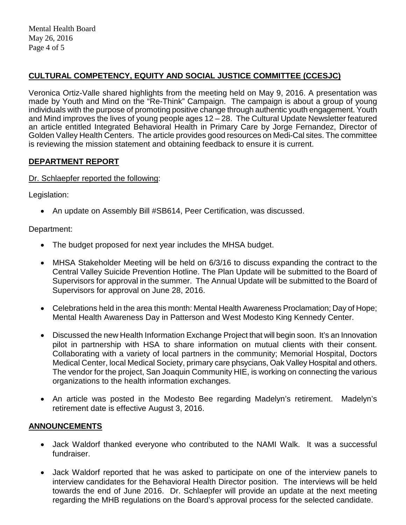Mental Health Board May 26, 2016 Page 4 of 5

# **CULTURAL COMPETENCY, EQUITY AND SOCIAL JUSTICE COMMITTEE (CCESJC)**

Veronica Ortiz-Valle shared highlights from the meeting held on May 9, 2016. A presentation was made by Youth and Mind on the "Re-Think" Campaign. The campaign is about a group of young individuals with the purpose of promoting positive change through authentic youth engagement. Youth and Mind improves the lives of young people ages 12 – 28. The Cultural Update Newsletter featured an article entitled Integrated Behavioral Health in Primary Care by Jorge Fernandez, Director of Golden Valley Health Centers. The article provides good resources on Medi-Cal sites. The committee is reviewing the mission statement and obtaining feedback to ensure it is current.

# **DEPARTMENT REPORT**

Dr. Schlaepfer reported the following:

Legislation:

• An update on Assembly Bill #SB614, Peer Certification, was discussed.

Department:

- The budget proposed for next year includes the MHSA budget.
- MHSA Stakeholder Meeting will be held on 6/3/16 to discuss expanding the contract to the Central Valley Suicide Prevention Hotline. The Plan Update will be submitted to the Board of Supervisors for approval in the summer. The Annual Update will be submitted to the Board of Supervisors for approval on June 28, 2016.
- Celebrations held in the area this month: Mental Health Awareness Proclamation; Day of Hope; Mental Health Awareness Day in Patterson and West Modesto King Kennedy Center.
- Discussed the new Health Information Exchange Project that will begin soon. It's an Innovation pilot in partnership with HSA to share information on mutual clients with their consent. Collaborating with a variety of local partners in the community; Memorial Hospital, Doctors Medical Center, local Medical Society, primary care phsycians, Oak Valley Hospital and others. The vendor for the project, San Joaquin Community HIE, is working on connecting the various organizations to the health information exchanges.
- An article was posted in the Modesto Bee regarding Madelyn's retirement. Madelyn's retirement date is effective August 3, 2016.

# **ANNOUNCEMENTS**

- Jack Waldorf thanked everyone who contributed to the NAMI Walk. It was a successful fundraiser.
- Jack Waldorf reported that he was asked to participate on one of the interview panels to interview candidates for the Behavioral Health Director position. The interviews will be held towards the end of June 2016. Dr. Schlaepfer will provide an update at the next meeting regarding the MHB regulations on the Board's approval process for the selected candidate.